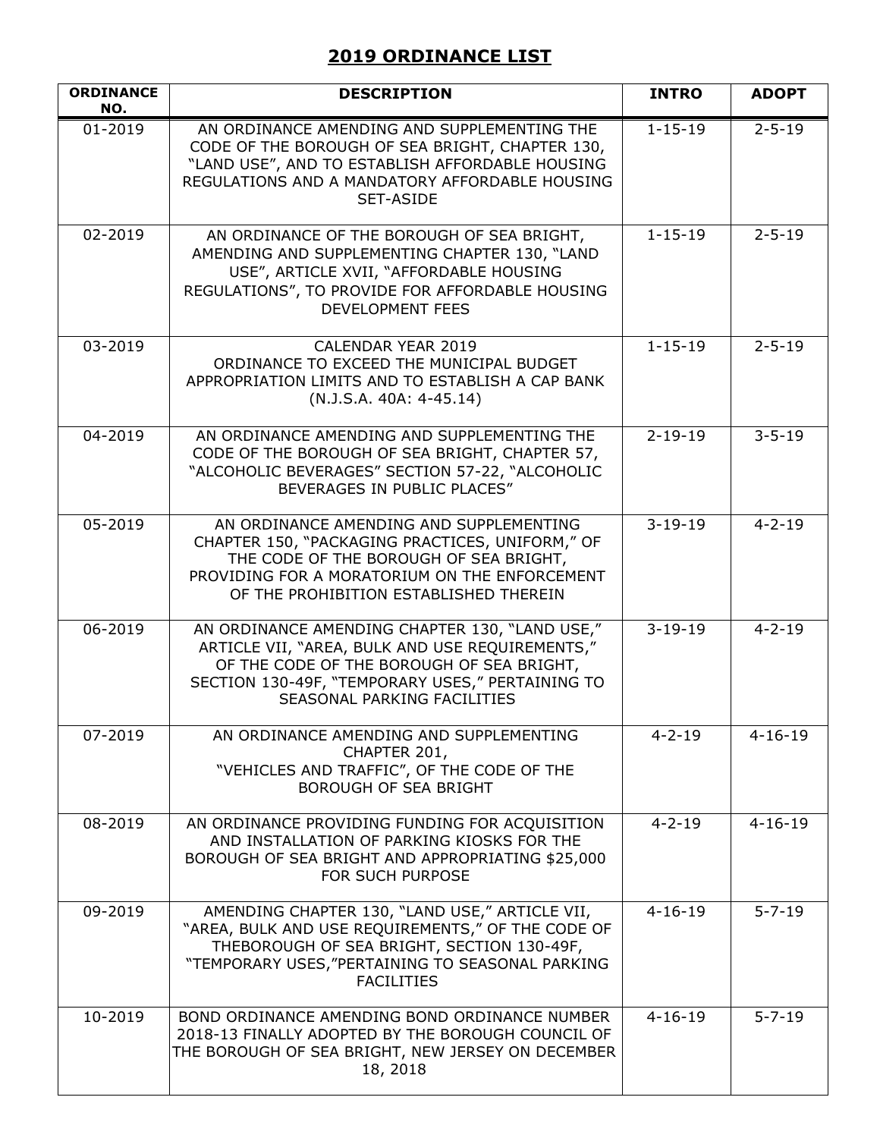## **2019 ORDINANCE LIST**

| <b>ORDINANCE</b><br>NO. | <b>DESCRIPTION</b>                                                                                                                                                                                                                       | <b>INTRO</b>  | <b>ADOPT</b>  |
|-------------------------|------------------------------------------------------------------------------------------------------------------------------------------------------------------------------------------------------------------------------------------|---------------|---------------|
| $01 - 2019$             | AN ORDINANCE AMENDING AND SUPPLEMENTING THE<br>CODE OF THE BOROUGH OF SEA BRIGHT, CHAPTER 130,<br>"LAND USE", AND TO ESTABLISH AFFORDABLE HOUSING<br>REGULATIONS AND A MANDATORY AFFORDABLE HOUSING<br><b>SET-ASIDE</b>                  | $1 - 15 - 19$ | $2 - 5 - 19$  |
| 02-2019                 | AN ORDINANCE OF THE BOROUGH OF SEA BRIGHT,<br>AMENDING AND SUPPLEMENTING CHAPTER 130, "LAND<br>USE", ARTICLE XVII, "AFFORDABLE HOUSING<br>REGULATIONS", TO PROVIDE FOR AFFORDABLE HOUSING<br><b>DEVELOPMENT FEES</b>                     | $1 - 15 - 19$ | $2 - 5 - 19$  |
| 03-2019                 | CALENDAR YEAR 2019<br>ORDINANCE TO EXCEED THE MUNICIPAL BUDGET<br>APPROPRIATION LIMITS AND TO ESTABLISH A CAP BANK<br>$(N.J.S.A. 40A: 4-45.14)$                                                                                          | $1 - 15 - 19$ | $2 - 5 - 19$  |
| $\overline{0}$ 4-2019   | AN ORDINANCE AMENDING AND SUPPLEMENTING THE<br>CODE OF THE BOROUGH OF SEA BRIGHT, CHAPTER 57,<br>"ALCOHOLIC BEVERAGES" SECTION 57-22, "ALCOHOLIC<br>BEVERAGES IN PUBLIC PLACES"                                                          | $2 - 19 - 19$ | $3 - 5 - 19$  |
| 05-2019                 | AN ORDINANCE AMENDING AND SUPPLEMENTING<br>CHAPTER 150, "PACKAGING PRACTICES, UNIFORM," OF<br>THE CODE OF THE BOROUGH OF SEA BRIGHT,<br>PROVIDING FOR A MORATORIUM ON THE ENFORCEMENT<br>OF THE PROHIBITION ESTABLISHED THEREIN          | $3 - 19 - 19$ | $4 - 2 - 19$  |
| 06-2019                 | AN ORDINANCE AMENDING CHAPTER 130, "LAND USE,"<br>ARTICLE VII, "AREA, BULK AND USE REQUIREMENTS,"<br>OF THE CODE OF THE BOROUGH OF SEA BRIGHT,<br>SECTION 130-49F, "TEMPORARY USES," PERTAINING TO<br><b>SEASONAL PARKING FACILITIES</b> | $3 - 19 - 19$ | $4 - 2 - 19$  |
| 07-2019                 | AN ORDINANCE AMENDING AND SUPPLEMENTING<br>CHAPTER 201,<br>"VEHICLES AND TRAFFIC", OF THE CODE OF THE<br><b>BOROUGH OF SEA BRIGHT</b>                                                                                                    | $4 - 2 - 19$  | $4 - 16 - 19$ |
| 08-2019                 | AN ORDINANCE PROVIDING FUNDING FOR ACQUISITION<br>AND INSTALLATION OF PARKING KIOSKS FOR THE<br>BOROUGH OF SEA BRIGHT AND APPROPRIATING \$25,000<br>FOR SUCH PURPOSE                                                                     | $4 - 2 - 19$  | $4 - 16 - 19$ |
| 09-2019                 | AMENDING CHAPTER 130, "LAND USE," ARTICLE VII,<br>"AREA, BULK AND USE REQUIREMENTS," OF THE CODE OF<br>THEBOROUGH OF SEA BRIGHT, SECTION 130-49F,<br>"TEMPORARY USES, "PERTAINING TO SEASONAL PARKING<br><b>FACILITIES</b>               | $4 - 16 - 19$ | $5 - 7 - 19$  |
| 10-2019                 | BOND ORDINANCE AMENDING BOND ORDINANCE NUMBER<br>2018-13 FINALLY ADOPTED BY THE BOROUGH COUNCIL OF<br>THE BOROUGH OF SEA BRIGHT, NEW JERSEY ON DECEMBER<br>18, 2018                                                                      | $4 - 16 - 19$ | $5 - 7 - 19$  |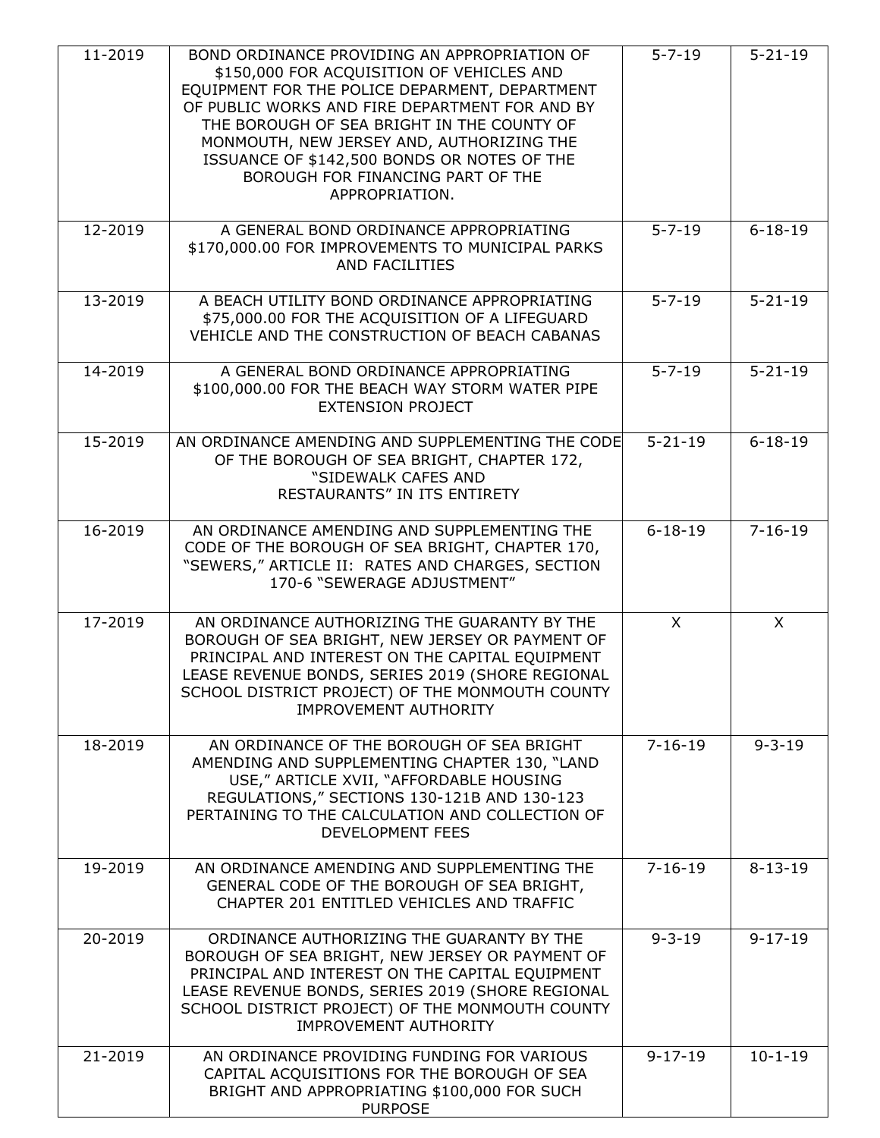| 11-2019 | BOND ORDINANCE PROVIDING AN APPROPRIATION OF<br>\$150,000 FOR ACQUISITION OF VEHICLES AND<br>EQUIPMENT FOR THE POLICE DEPARMENT, DEPARTMENT<br>OF PUBLIC WORKS AND FIRE DEPARTMENT FOR AND BY<br>THE BOROUGH OF SEA BRIGHT IN THE COUNTY OF<br>MONMOUTH, NEW JERSEY AND, AUTHORIZING THE<br>ISSUANCE OF \$142,500 BONDS OR NOTES OF THE<br>BOROUGH FOR FINANCING PART OF THE<br>APPROPRIATION. | $5 - 7 - 19$  | $5 - 21 - 19$ |
|---------|------------------------------------------------------------------------------------------------------------------------------------------------------------------------------------------------------------------------------------------------------------------------------------------------------------------------------------------------------------------------------------------------|---------------|---------------|
| 12-2019 | A GENERAL BOND ORDINANCE APPROPRIATING<br>\$170,000.00 FOR IMPROVEMENTS TO MUNICIPAL PARKS<br>AND FACILITIES                                                                                                                                                                                                                                                                                   | $5 - 7 - 19$  | $6 - 18 - 19$ |
| 13-2019 | A BEACH UTILITY BOND ORDINANCE APPROPRIATING<br>\$75,000.00 FOR THE ACQUISITION OF A LIFEGUARD<br>VEHICLE AND THE CONSTRUCTION OF BEACH CABANAS                                                                                                                                                                                                                                                | $5 - 7 - 19$  | $5 - 21 - 19$ |
| 14-2019 | A GENERAL BOND ORDINANCE APPROPRIATING<br>\$100,000.00 FOR THE BEACH WAY STORM WATER PIPE<br><b>EXTENSION PROJECT</b>                                                                                                                                                                                                                                                                          | $5 - 7 - 19$  | $5 - 21 - 19$ |
| 15-2019 | AN ORDINANCE AMENDING AND SUPPLEMENTING THE CODE<br>OF THE BOROUGH OF SEA BRIGHT, CHAPTER 172,<br>"SIDEWALK CAFES AND<br>RESTAURANTS" IN ITS ENTIRETY                                                                                                                                                                                                                                          | $5 - 21 - 19$ | $6 - 18 - 19$ |
| 16-2019 | AN ORDINANCE AMENDING AND SUPPLEMENTING THE<br>CODE OF THE BOROUGH OF SEA BRIGHT, CHAPTER 170,<br>"SEWERS," ARTICLE II: RATES AND CHARGES, SECTION<br>170-6 "SEWERAGE ADJUSTMENT"                                                                                                                                                                                                              | $6 - 18 - 19$ | $7 - 16 - 19$ |
| 17-2019 | AN ORDINANCE AUTHORIZING THE GUARANTY BY THE<br>BOROUGH OF SEA BRIGHT, NEW JERSEY OR PAYMENT OF<br>PRINCIPAL AND INTEREST ON THE CAPITAL EQUIPMENT<br>LEASE REVENUE BONDS, SERIES 2019 (SHORE REGIONAL<br>SCHOOL DISTRICT PROJECT) OF THE MONMOUTH COUNTY<br><b>IMPROVEMENT AUTHORITY</b>                                                                                                      | $\times$      | X             |
| 18-2019 | AN ORDINANCE OF THE BOROUGH OF SEA BRIGHT<br>AMENDING AND SUPPLEMENTING CHAPTER 130, "LAND<br>USE," ARTICLE XVII, "AFFORDABLE HOUSING<br>REGULATIONS," SECTIONS 130-121B AND 130-123<br>PERTAINING TO THE CALCULATION AND COLLECTION OF<br><b>DEVELOPMENT FEES</b>                                                                                                                             | $7 - 16 - 19$ | $9 - 3 - 19$  |
| 19-2019 | AN ORDINANCE AMENDING AND SUPPLEMENTING THE<br>GENERAL CODE OF THE BOROUGH OF SEA BRIGHT,<br>CHAPTER 201 ENTITLED VEHICLES AND TRAFFIC                                                                                                                                                                                                                                                         | $7 - 16 - 19$ | $8 - 13 - 19$ |
| 20-2019 | ORDINANCE AUTHORIZING THE GUARANTY BY THE<br>BOROUGH OF SEA BRIGHT, NEW JERSEY OR PAYMENT OF<br>PRINCIPAL AND INTEREST ON THE CAPITAL EQUIPMENT<br>LEASE REVENUE BONDS, SERIES 2019 (SHORE REGIONAL<br>SCHOOL DISTRICT PROJECT) OF THE MONMOUTH COUNTY<br><b>IMPROVEMENT AUTHORITY</b>                                                                                                         | $9 - 3 - 19$  | $9 - 17 - 19$ |
| 21-2019 | AN ORDINANCE PROVIDING FUNDING FOR VARIOUS<br>CAPITAL ACQUISITIONS FOR THE BOROUGH OF SEA<br>BRIGHT AND APPROPRIATING \$100,000 FOR SUCH<br><b>PURPOSE</b>                                                                                                                                                                                                                                     | $9 - 17 - 19$ | $10 - 1 - 19$ |